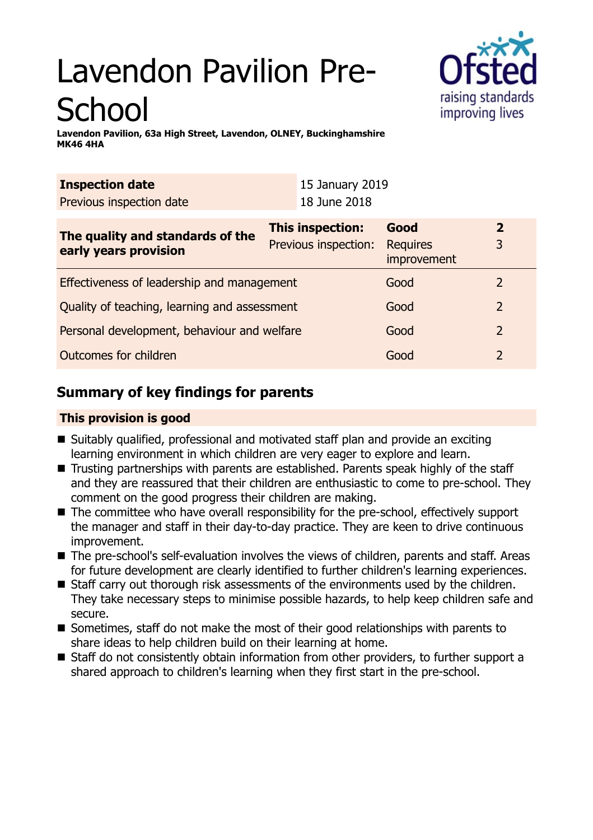# Lavendon Pavilion Pre-**School**



**Lavendon Pavilion, 63a High Street, Lavendon, OLNEY, Buckinghamshire MK46 4HA**

| <b>Inspection date</b>                                    | 15 January 2019      |                                |                |
|-----------------------------------------------------------|----------------------|--------------------------------|----------------|
| Previous inspection date                                  | 18 June 2018         |                                |                |
| The quality and standards of the<br>early years provision | This inspection:     | Good                           | $\overline{2}$ |
|                                                           | Previous inspection: | <b>Requires</b><br>improvement | 3              |
| Effectiveness of leadership and management                |                      | Good                           | 2              |
| Quality of teaching, learning and assessment              |                      | Good                           | $\overline{2}$ |
| Personal development, behaviour and welfare               |                      | Good                           | 2              |
| <b>Outcomes for children</b>                              |                      | Good                           | $\overline{2}$ |

# **Summary of key findings for parents**

## **This provision is good**

- Suitably qualified, professional and motivated staff plan and provide an exciting learning environment in which children are very eager to explore and learn.
- Trusting partnerships with parents are established. Parents speak highly of the staff and they are reassured that their children are enthusiastic to come to pre-school. They comment on the good progress their children are making.
- The committee who have overall responsibility for the pre-school, effectively support the manager and staff in their day-to-day practice. They are keen to drive continuous improvement.
- The pre-school's self-evaluation involves the views of children, parents and staff. Areas for future development are clearly identified to further children's learning experiences.
- Staff carry out thorough risk assessments of the environments used by the children. They take necessary steps to minimise possible hazards, to help keep children safe and secure.
- Sometimes, staff do not make the most of their good relationships with parents to share ideas to help children build on their learning at home.
- Staff do not consistently obtain information from other providers, to further support a shared approach to children's learning when they first start in the pre-school.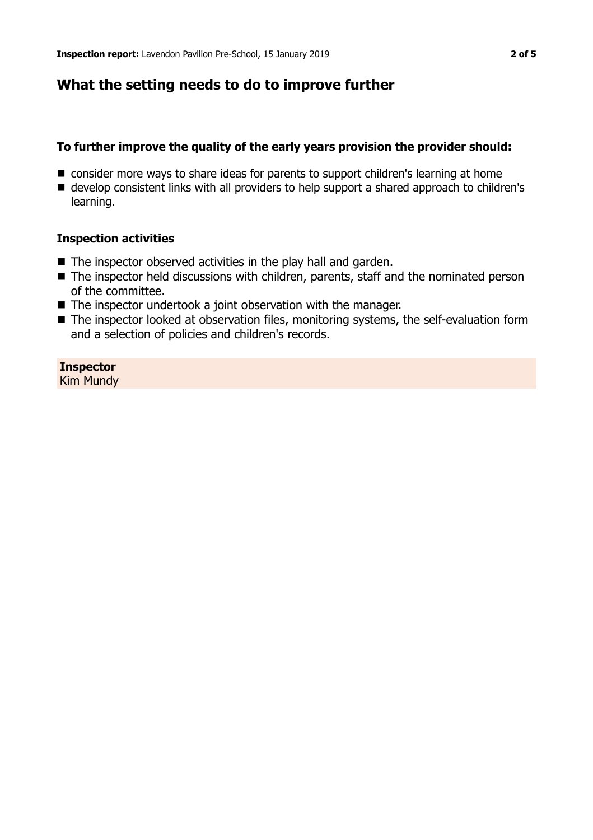## **What the setting needs to do to improve further**

## **To further improve the quality of the early years provision the provider should:**

- consider more ways to share ideas for parents to support children's learning at home
- develop consistent links with all providers to help support a shared approach to children's learning.

#### **Inspection activities**

- $\blacksquare$  The inspector observed activities in the play hall and garden.
- $\blacksquare$  The inspector held discussions with children, parents, staff and the nominated person of the committee.
- $\blacksquare$  The inspector undertook a joint observation with the manager.
- The inspector looked at observation files, monitoring systems, the self-evaluation form and a selection of policies and children's records.

**Inspector** Kim Mundy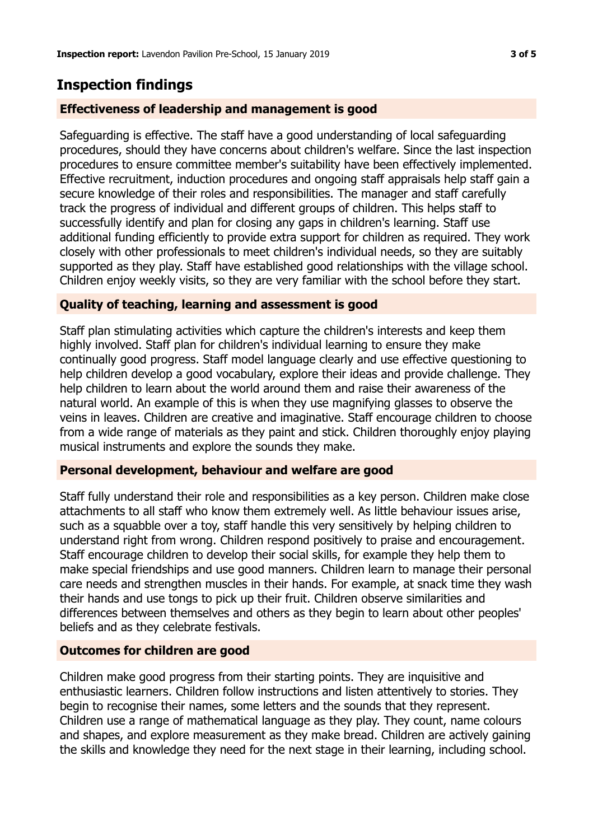## **Inspection findings**

## **Effectiveness of leadership and management is good**

Safeguarding is effective. The staff have a good understanding of local safeguarding procedures, should they have concerns about children's welfare. Since the last inspection procedures to ensure committee member's suitability have been effectively implemented. Effective recruitment, induction procedures and ongoing staff appraisals help staff gain a secure knowledge of their roles and responsibilities. The manager and staff carefully track the progress of individual and different groups of children. This helps staff to successfully identify and plan for closing any gaps in children's learning. Staff use additional funding efficiently to provide extra support for children as required. They work closely with other professionals to meet children's individual needs, so they are suitably supported as they play. Staff have established good relationships with the village school. Children enjoy weekly visits, so they are very familiar with the school before they start.

## **Quality of teaching, learning and assessment is good**

Staff plan stimulating activities which capture the children's interests and keep them highly involved. Staff plan for children's individual learning to ensure they make continually good progress. Staff model language clearly and use effective questioning to help children develop a good vocabulary, explore their ideas and provide challenge. They help children to learn about the world around them and raise their awareness of the natural world. An example of this is when they use magnifying glasses to observe the veins in leaves. Children are creative and imaginative. Staff encourage children to choose from a wide range of materials as they paint and stick. Children thoroughly enjoy playing musical instruments and explore the sounds they make.

## **Personal development, behaviour and welfare are good**

Staff fully understand their role and responsibilities as a key person. Children make close attachments to all staff who know them extremely well. As little behaviour issues arise, such as a squabble over a toy, staff handle this very sensitively by helping children to understand right from wrong. Children respond positively to praise and encouragement. Staff encourage children to develop their social skills, for example they help them to make special friendships and use good manners. Children learn to manage their personal care needs and strengthen muscles in their hands. For example, at snack time they wash their hands and use tongs to pick up their fruit. Children observe similarities and differences between themselves and others as they begin to learn about other peoples' beliefs and as they celebrate festivals.

## **Outcomes for children are good**

Children make good progress from their starting points. They are inquisitive and enthusiastic learners. Children follow instructions and listen attentively to stories. They begin to recognise their names, some letters and the sounds that they represent. Children use a range of mathematical language as they play. They count, name colours and shapes, and explore measurement as they make bread. Children are actively gaining the skills and knowledge they need for the next stage in their learning, including school.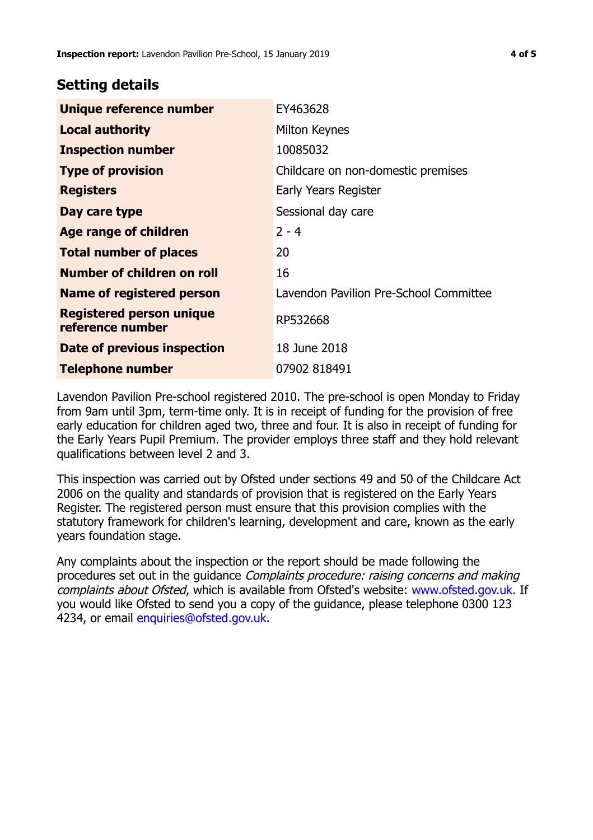## **Setting details**

| Unique reference number                             | EY463628                               |  |
|-----------------------------------------------------|----------------------------------------|--|
| <b>Local authority</b>                              | Milton Keynes                          |  |
| <b>Inspection number</b>                            | 10085032                               |  |
| <b>Type of provision</b>                            | Childcare on non-domestic premises     |  |
| <b>Registers</b>                                    | Early Years Register                   |  |
| Day care type                                       | Sessional day care                     |  |
| <b>Age range of children</b>                        | $2 - 4$                                |  |
| <b>Total number of places</b>                       | 20                                     |  |
| <b>Number of children on roll</b>                   | 16                                     |  |
| <b>Name of registered person</b>                    | Lavendon Pavilion Pre-School Committee |  |
| <b>Registered person unique</b><br>reference number | RP532668                               |  |
| Date of previous inspection                         | 18 June 2018                           |  |
| <b>Telephone number</b>                             | 07902 818491                           |  |

Lavendon Pavilion Pre-school registered 2010. The pre-school is open Monday to Friday from 9am until 3pm, term-time only. It is in receipt of funding for the provision of free early education for children aged two, three and four. It is also in receipt of funding for the Early Years Pupil Premium. The provider employs three staff and they hold relevant qualifications between level 2 and 3.

This inspection was carried out by Ofsted under sections 49 and 50 of the Childcare Act 2006 on the quality and standards of provision that is registered on the Early Years Register. The registered person must ensure that this provision complies with the statutory framework for children's learning, development and care, known as the early years foundation stage.

Any complaints about the inspection or the report should be made following the procedures set out in the quidance *Complaints procedure: raising concerns and making* complaints about Ofsted, which is available from Ofsted's website: www.ofsted.gov.uk. If you would like Ofsted to send you a copy of the guidance, please telephone 0300 123 4234, or email [enquiries@ofsted.gov.uk.](mailto:enquiries@ofsted.gov.uk)